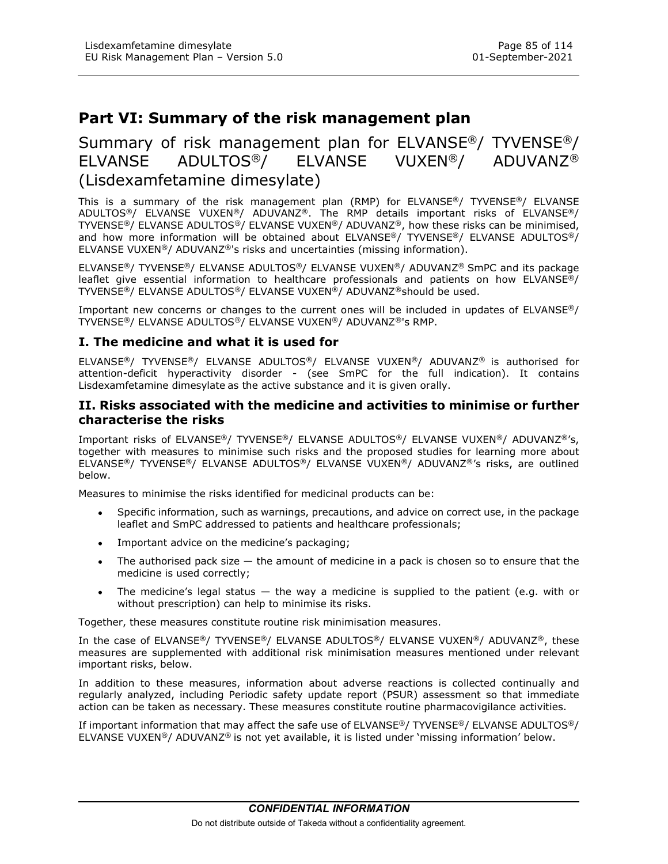# EU Risk Management Plan – Version 5.0 Page 85 of 114<br>EU Risk Management Plan – Version 5.0 01-September-2021<br>Part VI: Summarv of the risk management plan Part VI: Summary of the risk management plan

# Summary of risk management plan for ELVANSE®/ TYVENSE®/ ELVANSE ADULTOS®/ ELVANSE VUXEN®/ ADUVANZ® (Lisdexamfetamine dimesylate)

This is a summary of the risk management plan (RMP) for ELVANSE®/ TYVENSE®/ ELVANSE ADULTOS®/ ELVANSE VUXEN®/ ADUVANZ®. The RMP details important risks of ELVANSE®/ TYVENSE®/ ELVANSE ADULTOS®/ ELVANSE VUXEN®/ ADUVANZ®, how these risks can be minimised, and how more information will be obtained about ELVANSE®/ TYVENSE®/ ELVANSE ADULTOS®/ ELVANSE VUXEN®/ ADUVANZ®'s risks and uncertainties (missing information).

ELVANSE®/ TYVENSE®/ ELVANSE ADULTOS®/ ELVANSE VUXEN®/ ADUVANZ® SmPC and its package leaflet give essential information to healthcare professionals and patients on how ELVANSE®/ TYVENSE®/ ELVANSE ADULTOS®/ ELVANSE VUXEN®/ ADUVANZ®should be used.

Important new concerns or changes to the current ones will be included in updates of ELVANSE®/ TYVENSE®/ ELVANSE ADULTOS®/ ELVANSE VUXEN®/ ADUVANZ®'s RMP.

### I. The medicine and what it is used for

ELVANSE®/ TYVENSE®/ ELVANSE ADULTOS®/ ELVANSE VUXEN®/ ADUVANZ® is authorised for attention-deficit hyperactivity disorder - (see SmPC for the full indication). It contains Lisdexamfetamine dimesylate as the active substance and it is given orally.

# II. Risks associated with the medicine and activities to minimise or further characterise the risks

Important risks of ELVANSE®/ TYVENSE®/ ELVANSE ADULTOS®/ ELVANSE VUXEN®/ ADUVANZ®'s, together with measures to minimise such risks and the proposed studies for learning more about ELVANSE®/ TYVENSE®/ ELVANSE ADULTOS®/ ELVANSE VUXEN®/ ADUVANZ®'s risks, are outlined below.

Measures to minimise the risks identified for medicinal products can be:

- Specific information, such as warnings, precautions, and advice on correct use, in the package leaflet and SmPC addressed to patients and healthcare professionals;
- Important advice on the medicine's packaging;
- The authorised pack size  $-$  the amount of medicine in a pack is chosen so to ensure that the  $\bullet$ medicine is used correctly;
- The medicine's legal status  $-$  the way a medicine is supplied to the patient (e.g. with or  $\bullet$ without prescription) can help to minimise its risks.

Together, these measures constitute routine risk minimisation measures.

In the case of ELVANSE®/ TYVENSE®/ ELVANSE ADULTOS®/ ELVANSE VUXEN®/ ADUVANZ®, these measures are supplemented with additional risk minimisation measures mentioned under relevant important risks, below.

In addition to these measures, information about adverse reactions is collected continually and regularly analyzed, including Periodic safety update report (PSUR) assessment so that immediate action can be taken as necessary. These measures constitute routine pharmacovigilance activities.

If important information that may affect the safe use of ELVANSE®/ TYVENSE®/ ELVANSE ADULTOS®/ ELVANSE VUXEN®/ ADUVANZ® is not yet available, it is listed under 'missing information' below.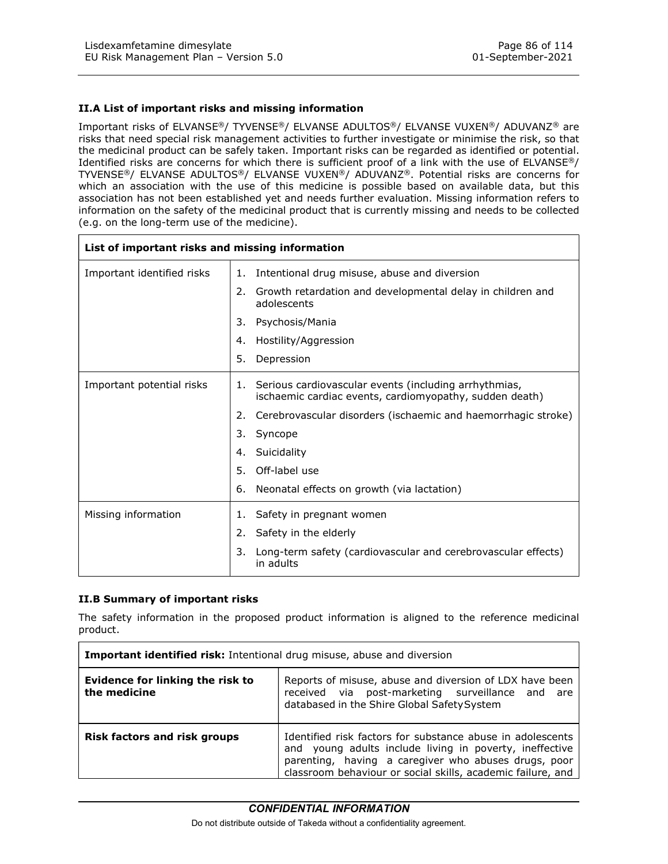### II.A List of important risks and missing information

Important risks of ELVANSE®/ TYVENSE®/ ELVANSE ADULTOS®/ ELVANSE VUXEN®/ ADUVANZ® are risks that need special risk management activities to further investigate or minimise the risk, so that the medicinal product can be safely taken. Important risks can be regarded as identified or potential. Identified risks are concerns for which there is sufficient proof of a link with the use of ELVANSE®/ TYVENSE®/ ELVANSE ADULTOS®/ ELVANSE VUXEN®/ ADUVANZ®. Potential risks are concerns for which an association with the use of this medicine is possible based on available data, but this association has not been established yet and needs further evaluation. Missing information refers to information on the safety of the medicinal product that is currently missing and needs to be collected (e.g. on the long-term use of the medicine). Lisdexamfetamine dimesylate<br>
EU Risk Management Plan – Version 5.0<br>
01-September-2021<br>
ILA List of important risks and missing information<br>
mportant risks of ELVANSE®/ TVVENSE®/ ELVANSE ADULTOS®/ ELVANSE VUXEN®/ ADUVANZ® a

| Lisdexamfetamine dimesylate<br>EU Risk Management Plan - Version 5.0 |                  |                                                                                                                                                                                                                                                                                                                                                                                                                                                                                                                                                                                                                                                                                                                                                                                                                                     | Page 86 of 114<br>01-September-2021 |
|----------------------------------------------------------------------|------------------|-------------------------------------------------------------------------------------------------------------------------------------------------------------------------------------------------------------------------------------------------------------------------------------------------------------------------------------------------------------------------------------------------------------------------------------------------------------------------------------------------------------------------------------------------------------------------------------------------------------------------------------------------------------------------------------------------------------------------------------------------------------------------------------------------------------------------------------|-------------------------------------|
| II.A List of important risks and missing information                 |                  |                                                                                                                                                                                                                                                                                                                                                                                                                                                                                                                                                                                                                                                                                                                                                                                                                                     |                                     |
| (e.g. on the long-term use of the medicine).                         |                  | Important risks of ELVANSE®/ TYVENSE®/ ELVANSE ADULTOS®/ ELVANSE VUXEN®/ ADUVANZ® are<br>risks that need special risk management activities to further investigate or minimise the risk, so that<br>the medicinal product can be safely taken. Important risks can be regarded as identified or potential.<br>Identified risks are concerns for which there is sufficient proof of a link with the use of ELVANSE®/<br>TYVENSE®/ ELVANSE ADULTOS®/ ELVANSE VUXEN®/ ADUVANZ®. Potential risks are concerns for<br>which an association with the use of this medicine is possible based on available data, but this<br>association has not been established yet and needs further evaluation. Missing information refers to<br>information on the safety of the medicinal product that is currently missing and needs to be collected |                                     |
| List of important risks and missing information                      |                  |                                                                                                                                                                                                                                                                                                                                                                                                                                                                                                                                                                                                                                                                                                                                                                                                                                     |                                     |
| Important identified risks                                           |                  | 1. Intentional drug misuse, abuse and diversion                                                                                                                                                                                                                                                                                                                                                                                                                                                                                                                                                                                                                                                                                                                                                                                     |                                     |
|                                                                      | adolescents      | 2. Growth retardation and developmental delay in children and                                                                                                                                                                                                                                                                                                                                                                                                                                                                                                                                                                                                                                                                                                                                                                       |                                     |
|                                                                      | 3.               | Psychosis/Mania                                                                                                                                                                                                                                                                                                                                                                                                                                                                                                                                                                                                                                                                                                                                                                                                                     |                                     |
|                                                                      | 4.               | Hostility/Aggression                                                                                                                                                                                                                                                                                                                                                                                                                                                                                                                                                                                                                                                                                                                                                                                                                |                                     |
|                                                                      | 5. Depression    |                                                                                                                                                                                                                                                                                                                                                                                                                                                                                                                                                                                                                                                                                                                                                                                                                                     |                                     |
| Important potential risks                                            |                  | 1. Serious cardiovascular events (including arrhythmias,<br>ischaemic cardiac events, cardiomyopathy, sudden death)                                                                                                                                                                                                                                                                                                                                                                                                                                                                                                                                                                                                                                                                                                                 |                                     |
|                                                                      |                  | 2. Cerebrovascular disorders (ischaemic and haemorrhagic stroke)                                                                                                                                                                                                                                                                                                                                                                                                                                                                                                                                                                                                                                                                                                                                                                    |                                     |
|                                                                      | 3.<br>Syncope    |                                                                                                                                                                                                                                                                                                                                                                                                                                                                                                                                                                                                                                                                                                                                                                                                                                     |                                     |
|                                                                      | 4. Suicidality   |                                                                                                                                                                                                                                                                                                                                                                                                                                                                                                                                                                                                                                                                                                                                                                                                                                     |                                     |
|                                                                      | 5. Off-label use |                                                                                                                                                                                                                                                                                                                                                                                                                                                                                                                                                                                                                                                                                                                                                                                                                                     |                                     |
|                                                                      |                  | 6. Neonatal effects on growth (via lactation)                                                                                                                                                                                                                                                                                                                                                                                                                                                                                                                                                                                                                                                                                                                                                                                       |                                     |
| Missing information                                                  |                  | 1. Safety in pregnant women                                                                                                                                                                                                                                                                                                                                                                                                                                                                                                                                                                                                                                                                                                                                                                                                         |                                     |
|                                                                      |                  | 2. Safety in the elderly                                                                                                                                                                                                                                                                                                                                                                                                                                                                                                                                                                                                                                                                                                                                                                                                            |                                     |
|                                                                      | 3.<br>in adults  | Long-term safety (cardiovascular and cerebrovascular effects)                                                                                                                                                                                                                                                                                                                                                                                                                                                                                                                                                                                                                                                                                                                                                                       |                                     |
| II.B Summary of important risks                                      |                  |                                                                                                                                                                                                                                                                                                                                                                                                                                                                                                                                                                                                                                                                                                                                                                                                                                     |                                     |
| product.                                                             |                  | The safety information in the proposed product information is aligned to the reference medicinal                                                                                                                                                                                                                                                                                                                                                                                                                                                                                                                                                                                                                                                                                                                                    |                                     |
|                                                                      |                  | Important identified risk: Intentional drug misuse, abuse and diversion                                                                                                                                                                                                                                                                                                                                                                                                                                                                                                                                                                                                                                                                                                                                                             |                                     |
| <b>Evidence for linking the risk to</b><br>the medicine              |                  | Reports of misuse, abuse and diversion of LDX have been<br>received via post-marketing surveillance and are<br>databased in the Shire Global Safety System                                                                                                                                                                                                                                                                                                                                                                                                                                                                                                                                                                                                                                                                          |                                     |
| <b>Risk factors and risk groups</b>                                  |                  | Identified risk factors for substance abuse in adolescents<br>and young adults include living in poverty, ineffective<br>parenting, having a caregiver who abuses drugs, poor                                                                                                                                                                                                                                                                                                                                                                                                                                                                                                                                                                                                                                                       |                                     |

### II.B Summary of important risks

|                                                  | 4. Suicidality |                                                                                                                                                                                                                                              |
|--------------------------------------------------|----------------|----------------------------------------------------------------------------------------------------------------------------------------------------------------------------------------------------------------------------------------------|
|                                                  | 5.             | Off-label use                                                                                                                                                                                                                                |
|                                                  | 6.             | Neonatal effects on growth (via lactation)                                                                                                                                                                                                   |
| Missing information                              |                | Safety in pregnant women                                                                                                                                                                                                                     |
|                                                  | 2.             | Safety in the elderly                                                                                                                                                                                                                        |
|                                                  | 3.             | Long-term safety (cardiovascular and cerebrovascular effects)<br>in adults                                                                                                                                                                   |
| product.                                         |                | The safety information in the proposed product information is aligned to the reference medicinal                                                                                                                                             |
|                                                  |                | Important identified risk: Intentional drug misuse, abuse and diversion                                                                                                                                                                      |
| Evidence for linking the risk to<br>the medicine |                | Reports of misuse, abuse and diversion of LDX have been<br>received via post-marketing surveillance and are<br>databased in the Shire Global Safety System                                                                                   |
| <b>Risk factors and risk groups</b>              |                | Identified risk factors for substance abuse in adolescents<br>and young adults include living in poverty, ineffective<br>parenting, having a caregiver who abuses drugs, poor<br>classroom behaviour or social skills, academic failure, and |
|                                                  |                | <b>CONFIDENTIAL INFORMATION</b>                                                                                                                                                                                                              |
|                                                  |                | Do not distribute outside of Takeda without a confidentiality agreement                                                                                                                                                                      |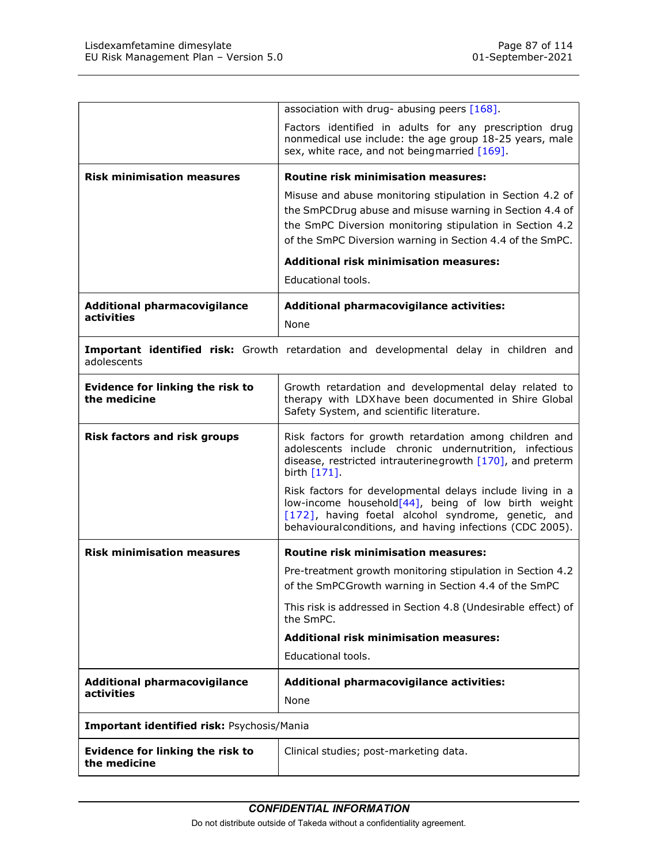| Lisdexamfetamine dimesylate<br>EU Risk Management Plan - Version 5.0 | Page 87 of 114<br>01-September-2021                                                                                                                                                                                                           |
|----------------------------------------------------------------------|-----------------------------------------------------------------------------------------------------------------------------------------------------------------------------------------------------------------------------------------------|
|                                                                      |                                                                                                                                                                                                                                               |
|                                                                      | association with drug- abusing peers [168].                                                                                                                                                                                                   |
|                                                                      | Factors identified in adults for any prescription drug<br>nonmedical use include: the age group 18-25 years, male<br>sex, white race, and not beingmarried [169].                                                                             |
| <b>Risk minimisation measures</b>                                    | <b>Routine risk minimisation measures:</b>                                                                                                                                                                                                    |
|                                                                      | Misuse and abuse monitoring stipulation in Section 4.2 of<br>the SmPCDrug abuse and misuse warning in Section 4.4 of<br>the SmPC Diversion monitoring stipulation in Section 4.2<br>of the SmPC Diversion warning in Section 4.4 of the SmPC. |
|                                                                      | <b>Additional risk minimisation measures:</b><br>Educational tools.                                                                                                                                                                           |
| <b>Additional pharmacovigilance</b>                                  | Additional pharmacovigilance activities:                                                                                                                                                                                                      |
| activities                                                           | None                                                                                                                                                                                                                                          |
| adolescents                                                          | Important identified risk: Growth retardation and developmental delay in children and                                                                                                                                                         |
| Evidence for linking the risk to<br>the medicine                     | Growth retardation and developmental delay related to<br>therapy with LDX have been documented in Shire Global<br>Safety System, and scientific literature.                                                                                   |
| <b>Risk factors and risk groups</b>                                  | Risk factors for growth retardation among children and<br>adolescents include chronic undernutrition, infectious<br>disease, restricted intrauterinegrowth [170], and preterm<br>birth [171].                                                 |
|                                                                      | Risk factors for developmental delays include living in a<br>low-income household[44], being of low birth weight<br>[172], having foetal alcohol syndrome, genetic, and<br>behaviouralconditions, and having infections (CDC 2005).           |
| <b>Risk minimisation measures</b>                                    | <b>Routine risk minimisation measures:</b>                                                                                                                                                                                                    |
|                                                                      | Pre-treatment growth monitoring stipulation in Section 4.2<br>of the SmPCGrowth warning in Section 4.4 of the SmPC                                                                                                                            |
|                                                                      | This risk is addressed in Section 4.8 (Undesirable effect) of<br>the SmPC.                                                                                                                                                                    |
|                                                                      | <b>Additional risk minimisation measures:</b>                                                                                                                                                                                                 |
|                                                                      |                                                                                                                                                                                                                                               |
|                                                                      | Educational tools.                                                                                                                                                                                                                            |
| <b>Additional pharmacovigilance</b><br><b>activities</b>             | Additional pharmacovigilance activities:                                                                                                                                                                                                      |
| Important identified risk: Psychosis/Mania                           | None                                                                                                                                                                                                                                          |
| Evidence for linking the risk to<br>the medicine                     | Clinical studies; post-marketing data.                                                                                                                                                                                                        |
|                                                                      | <b>CONFIDENTIAL INFORMATION</b>                                                                                                                                                                                                               |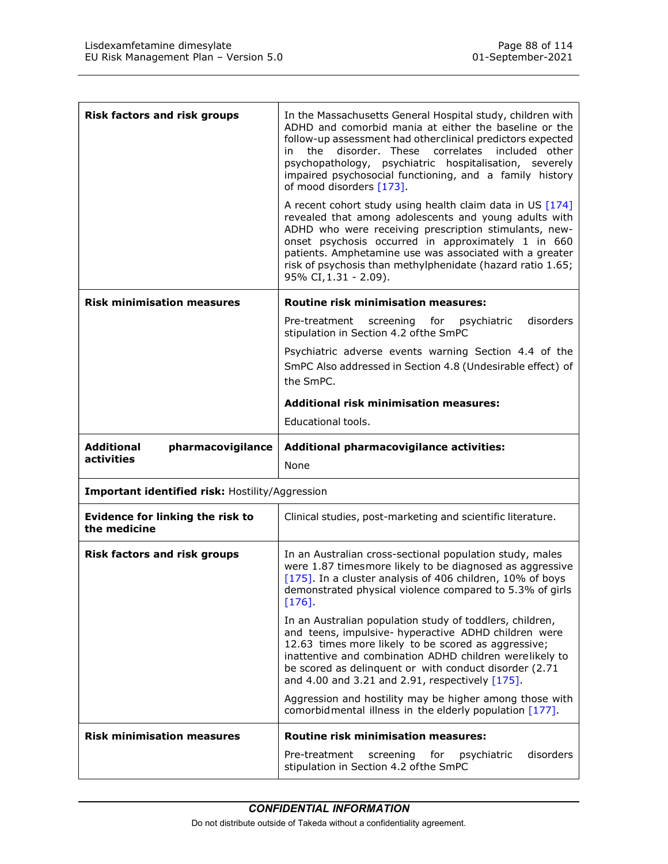| Lisdexamfetamine dimesylate<br>EU Risk Management Plan - Version 5.0 | Page 88 of 114<br>01-September-2021                                                                                                                                                                                                                                                                                                                                                    |
|----------------------------------------------------------------------|----------------------------------------------------------------------------------------------------------------------------------------------------------------------------------------------------------------------------------------------------------------------------------------------------------------------------------------------------------------------------------------|
|                                                                      |                                                                                                                                                                                                                                                                                                                                                                                        |
| <b>Risk factors and risk groups</b>                                  | In the Massachusetts General Hospital study, children with<br>ADHD and comorbid mania at either the baseline or the<br>follow-up assessment had otherclinical predictors expected<br>in the disorder. These correlates included other<br>psychopathology, psychiatric hospitalisation, severely<br>impaired psychosocial functioning, and a family history<br>of mood disorders [173]. |
|                                                                      | A recent cohort study using health claim data in US [174]<br>revealed that among adolescents and young adults with<br>ADHD who were receiving prescription stimulants, new-<br>onset psychosis occurred in approximately 1 in 660<br>patients. Amphetamine use was associated with a greater<br>risk of psychosis than methylphenidate (hazard ratio 1.65;<br>95% CI, 1.31 - 2.09).    |
| <b>Risk minimisation measures</b>                                    | <b>Routine risk minimisation measures:</b>                                                                                                                                                                                                                                                                                                                                             |
|                                                                      | Pre-treatment screening for psychiatric<br>disorders<br>stipulation in Section 4.2 of the SmPC                                                                                                                                                                                                                                                                                         |
|                                                                      | Psychiatric adverse events warning Section 4.4 of the<br>SmPC Also addressed in Section 4.8 (Undesirable effect) of<br>the SmPC.                                                                                                                                                                                                                                                       |
|                                                                      | <b>Additional risk minimisation measures:</b><br>Educational tools.                                                                                                                                                                                                                                                                                                                    |
| <b>Additional</b><br>pharmacovigilance<br>activities                 | Additional pharmacovigilance activities:<br>None                                                                                                                                                                                                                                                                                                                                       |
| Important identified risk: Hostility/Aggression                      |                                                                                                                                                                                                                                                                                                                                                                                        |
| <b>Evidence for linking the risk to</b><br>the medicine              | Clinical studies, post-marketing and scientific literature.                                                                                                                                                                                                                                                                                                                            |
| <b>Risk factors and risk groups</b>                                  | In an Australian cross-sectional population study, males<br>were 1.87 timesmore likely to be diagnosed as aggressive<br>[175]. In a cluster analysis of 406 children, 10% of boys<br>demonstrated physical violence compared to 5.3% of girls<br>$[176]$                                                                                                                               |
|                                                                      | In an Australian population study of toddlers, children,<br>and teens, impulsive- hyperactive ADHD children were<br>12.63 times more likely to be scored as aggressive;<br>inattentive and combination ADHD children werelikely to<br>be scored as delinquent or with conduct disorder (2.71<br>and 4.00 and 3.21 and 2.91, respectively [175].                                        |
|                                                                      | Aggression and hostility may be higher among those with<br>comorbidmental illness in the elderly population [177].                                                                                                                                                                                                                                                                     |
| <b>Risk minimisation measures</b>                                    | Routine risk minimisation measures:<br>disorders                                                                                                                                                                                                                                                                                                                                       |
|                                                                      | Pre-treatment screening for psychiatric<br>stipulation in Section 4.2 of the SmPC                                                                                                                                                                                                                                                                                                      |
|                                                                      |                                                                                                                                                                                                                                                                                                                                                                                        |
|                                                                      | <b>CONFIDENTIAL INFORMATION</b><br>Do not distribute outside of Takeda without a confidentiality agreement.                                                                                                                                                                                                                                                                            |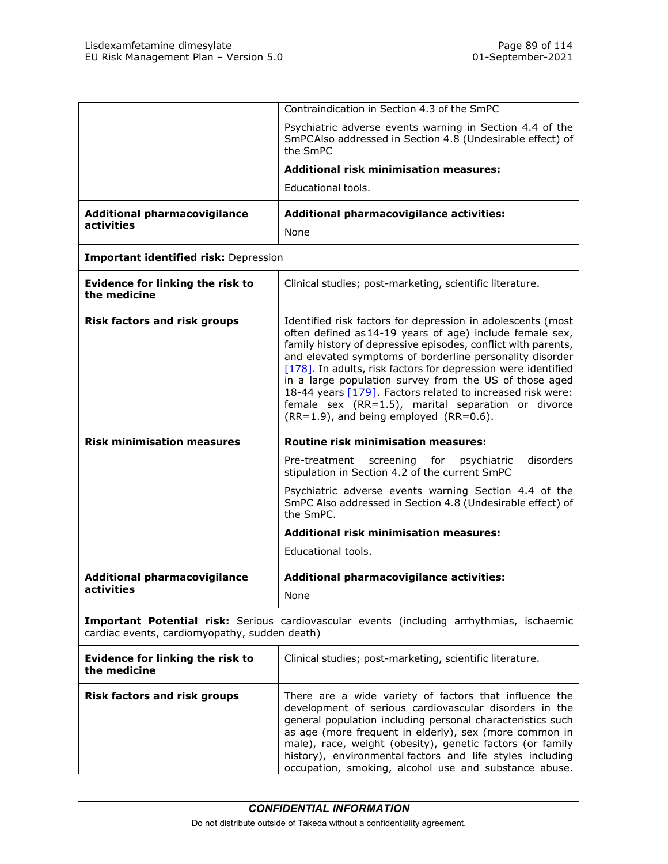| Lisdexamfetamine dimesylate                                                                                                                | Page 89 of 114                                                                                                                                                                                                                                                                                                                                                                                                                                                                                                                                      |
|--------------------------------------------------------------------------------------------------------------------------------------------|-----------------------------------------------------------------------------------------------------------------------------------------------------------------------------------------------------------------------------------------------------------------------------------------------------------------------------------------------------------------------------------------------------------------------------------------------------------------------------------------------------------------------------------------------------|
| EU Risk Management Plan - Version 5.0                                                                                                      | 01-September-2021                                                                                                                                                                                                                                                                                                                                                                                                                                                                                                                                   |
|                                                                                                                                            | Contraindication in Section 4.3 of the SmPC                                                                                                                                                                                                                                                                                                                                                                                                                                                                                                         |
|                                                                                                                                            | Psychiatric adverse events warning in Section 4.4 of the<br>SmPCAIso addressed in Section 4.8 (Undesirable effect) of                                                                                                                                                                                                                                                                                                                                                                                                                               |
|                                                                                                                                            | the SmPC<br><b>Additional risk minimisation measures:</b>                                                                                                                                                                                                                                                                                                                                                                                                                                                                                           |
|                                                                                                                                            | Educational tools.                                                                                                                                                                                                                                                                                                                                                                                                                                                                                                                                  |
| <b>Additional pharmacovigilance</b><br>activities                                                                                          | Additional pharmacovigilance activities:                                                                                                                                                                                                                                                                                                                                                                                                                                                                                                            |
|                                                                                                                                            | None                                                                                                                                                                                                                                                                                                                                                                                                                                                                                                                                                |
| Important identified risk: Depression                                                                                                      |                                                                                                                                                                                                                                                                                                                                                                                                                                                                                                                                                     |
| Evidence for linking the risk to<br>the medicine                                                                                           | Clinical studies; post-marketing, scientific literature.                                                                                                                                                                                                                                                                                                                                                                                                                                                                                            |
| <b>Risk factors and risk groups</b>                                                                                                        | Identified risk factors for depression in adolescents (most<br>often defined as 14-19 years of age) include female sex,<br>family history of depressive episodes, conflict with parents,<br>and elevated symptoms of borderline personality disorder<br>[178]. In adults, risk factors for depression were identified<br>in a large population survey from the US of those aged<br>18-44 years [179]. Factors related to increased risk were:<br>female sex (RR=1.5), marital separation or divorce<br>$(RR=1.9)$ , and being employed $(RR=0.6)$ . |
| <b>Risk minimisation measures</b>                                                                                                          | <b>Routine risk minimisation measures:</b>                                                                                                                                                                                                                                                                                                                                                                                                                                                                                                          |
|                                                                                                                                            | Pre-treatment screening for psychiatric<br>disorders<br>stipulation in Section 4.2 of the current SmPC                                                                                                                                                                                                                                                                                                                                                                                                                                              |
|                                                                                                                                            | Psychiatric adverse events warning Section 4.4 of the<br>SmPC Also addressed in Section 4.8 (Undesirable effect) of<br>the SmPC.                                                                                                                                                                                                                                                                                                                                                                                                                    |
|                                                                                                                                            | <b>Additional risk minimisation measures:</b><br>Educational tools.                                                                                                                                                                                                                                                                                                                                                                                                                                                                                 |
| <b>Additional pharmacovigilance</b>                                                                                                        | Additional pharmacovigilance activities:                                                                                                                                                                                                                                                                                                                                                                                                                                                                                                            |
| activities                                                                                                                                 | None                                                                                                                                                                                                                                                                                                                                                                                                                                                                                                                                                |
|                                                                                                                                            |                                                                                                                                                                                                                                                                                                                                                                                                                                                                                                                                                     |
| Important Potential risk: Serious cardiovascular events (including arrhythmias, ischaemic<br>cardiac events, cardiomyopathy, sudden death) |                                                                                                                                                                                                                                                                                                                                                                                                                                                                                                                                                     |
| Evidence for linking the risk to<br>the medicine                                                                                           | Clinical studies; post-marketing, scientific literature.                                                                                                                                                                                                                                                                                                                                                                                                                                                                                            |
| <b>Risk factors and risk groups</b>                                                                                                        | There are a wide variety of factors that influence the<br>development of serious cardiovascular disorders in the<br>general population including personal characteristics such<br>as age (more frequent in elderly), sex (more common in<br>male), race, weight (obesity), genetic factors (or family<br>history), environmental factors and life styles including<br>occupation, smoking, alcohol use and substance abuse.                                                                                                                         |
|                                                                                                                                            |                                                                                                                                                                                                                                                                                                                                                                                                                                                                                                                                                     |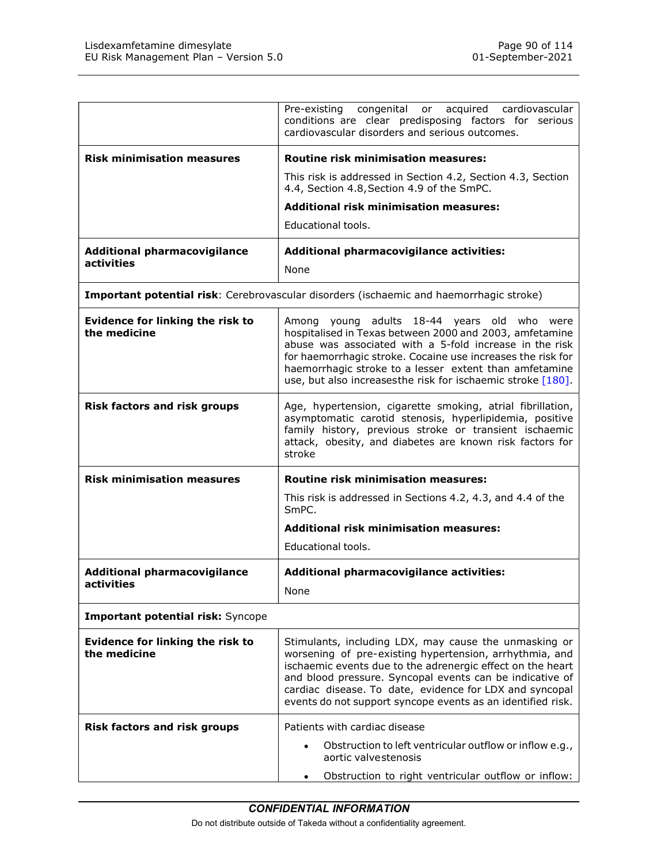| Lisdexamfetamine dimesylate<br>EU Risk Management Plan - Version 5.0 | Page 90 of 114<br>01-September-2021                                                                                                                                                                                                                                                                                                                                  |
|----------------------------------------------------------------------|----------------------------------------------------------------------------------------------------------------------------------------------------------------------------------------------------------------------------------------------------------------------------------------------------------------------------------------------------------------------|
|                                                                      |                                                                                                                                                                                                                                                                                                                                                                      |
|                                                                      | Pre-existing<br>congenital or acquired<br>cardiovascular<br>conditions are clear predisposing factors for serious<br>cardiovascular disorders and serious outcomes.                                                                                                                                                                                                  |
| <b>Risk minimisation measures</b>                                    | <b>Routine risk minimisation measures:</b>                                                                                                                                                                                                                                                                                                                           |
|                                                                      | This risk is addressed in Section 4.2, Section 4.3, Section<br>4.4, Section 4.8, Section 4.9 of the SmPC.                                                                                                                                                                                                                                                            |
|                                                                      | <b>Additional risk minimisation measures:</b><br>Educational tools.                                                                                                                                                                                                                                                                                                  |
| <b>Additional pharmacovigilance</b><br>activities                    | Additional pharmacovigilance activities:<br>None                                                                                                                                                                                                                                                                                                                     |
|                                                                      | Important potential risk: Cerebrovascular disorders (ischaemic and haemorrhagic stroke)                                                                                                                                                                                                                                                                              |
| Evidence for linking the risk to<br>the medicine                     | Among young adults 18-44 years old who were<br>hospitalised in Texas between 2000 and 2003, amfetamine<br>abuse was associated with a 5-fold increase in the risk<br>for haemorrhagic stroke. Cocaine use increases the risk for<br>haemorrhagic stroke to a lesser extent than amfetamine<br>use, but also increases the risk for ischaemic stroke [180].           |
| <b>Risk factors and risk groups</b>                                  | Age, hypertension, cigarette smoking, atrial fibrillation,<br>asymptomatic carotid stenosis, hyperlipidemia, positive<br>family history, previous stroke or transient ischaemic<br>attack, obesity, and diabetes are known risk factors for<br>stroke                                                                                                                |
| <b>Risk minimisation measures</b>                                    | <b>Routine risk minimisation measures:</b>                                                                                                                                                                                                                                                                                                                           |
|                                                                      | This risk is addressed in Sections 4.2, 4.3, and 4.4 of the<br>SmPC.                                                                                                                                                                                                                                                                                                 |
|                                                                      | <b>Additional risk minimisation measures:</b><br>Educational tools.                                                                                                                                                                                                                                                                                                  |
| <b>Additional pharmacovigilance</b><br>activities                    | Additional pharmacovigilance activities:<br>None                                                                                                                                                                                                                                                                                                                     |
| Important potential risk: Syncope                                    |                                                                                                                                                                                                                                                                                                                                                                      |
| Evidence for linking the risk to<br>the medicine                     | Stimulants, including LDX, may cause the unmasking or<br>worsening of pre-existing hypertension, arrhythmia, and<br>ischaemic events due to the adrenergic effect on the heart<br>and blood pressure. Syncopal events can be indicative of<br>cardiac disease. To date, evidence for LDX and syncopal<br>events do not support syncope events as an identified risk. |
| <b>Risk factors and risk groups</b>                                  | Patients with cardiac disease<br>Obstruction to left ventricular outflow or inflow e.g.,<br>$\bullet$<br>aortic valvestenosis                                                                                                                                                                                                                                        |
|                                                                      |                                                                                                                                                                                                                                                                                                                                                                      |
|                                                                      | Obstruction to right ventricular outflow or inflow:<br>$\bullet$                                                                                                                                                                                                                                                                                                     |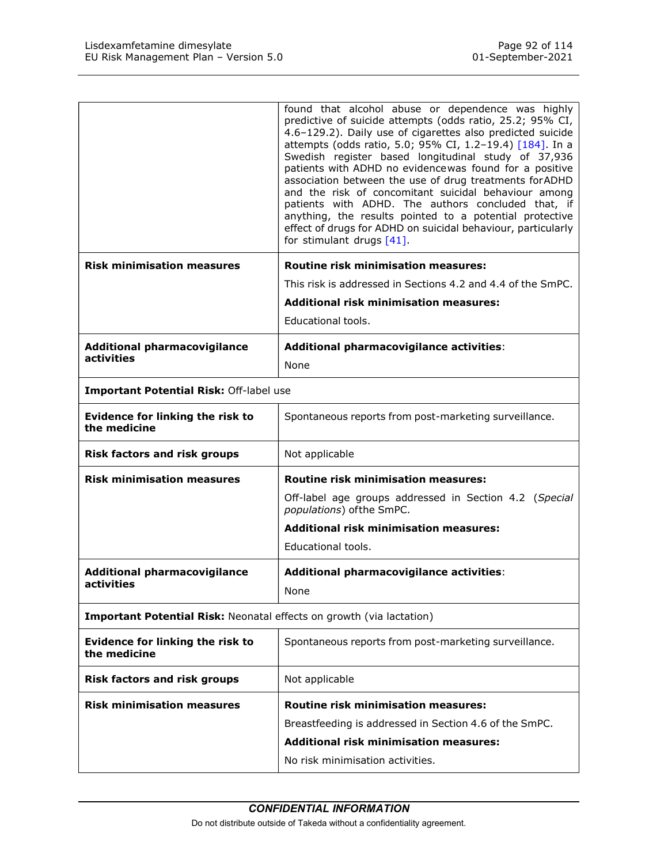| Lisdexamfetamine dimesylate                                          | Page 92 of 114                                                                                                          |
|----------------------------------------------------------------------|-------------------------------------------------------------------------------------------------------------------------|
| EU Risk Management Plan - Version 5.0                                | 01-September-2021                                                                                                       |
|                                                                      |                                                                                                                         |
|                                                                      | found that alcohol abuse or dependence was highly                                                                       |
|                                                                      | predictive of suicide attempts (odds ratio, 25.2; 95% CI,<br>4.6-129.2). Daily use of cigarettes also predicted suicide |
|                                                                      | attempts (odds ratio, 5.0; 95% CI, 1.2-19.4) [184]. In a<br>Swedish register based longitudinal study of 37,936         |
|                                                                      | patients with ADHD no evidencewas found for a positive<br>association between the use of drug treatments for ADHD       |
|                                                                      | and the risk of concomitant suicidal behaviour among                                                                    |
|                                                                      | patients with ADHD. The authors concluded that, if<br>anything, the results pointed to a potential protective           |
|                                                                      | effect of drugs for ADHD on suicidal behaviour, particularly<br>for stimulant drugs [41].                               |
| <b>Risk minimisation measures</b>                                    | <b>Routine risk minimisation measures:</b>                                                                              |
|                                                                      | This risk is addressed in Sections 4.2 and 4.4 of the SmPC.                                                             |
|                                                                      | <b>Additional risk minimisation measures:</b>                                                                           |
|                                                                      | Educational tools.                                                                                                      |
| <b>Additional pharmacovigilance</b>                                  | Additional pharmacovigilance activities:                                                                                |
| activities                                                           | None                                                                                                                    |
| Important Potential Risk: Off-label use                              |                                                                                                                         |
| <b>Evidence for linking the risk to</b><br>the medicine              | Spontaneous reports from post-marketing surveillance.                                                                   |
| <b>Risk factors and risk groups</b>                                  | Not applicable                                                                                                          |
| <b>Risk minimisation measures</b>                                    | <b>Routine risk minimisation measures:</b>                                                                              |
|                                                                      | Off-label age groups addressed in Section 4.2 (Special<br>populations) of the SmPC.                                     |
|                                                                      | <b>Additional risk minimisation measures:</b><br>Educational tools.                                                     |
| <b>Additional pharmacovigilance</b>                                  | Additional pharmacovigilance activities:                                                                                |
| activities                                                           | None                                                                                                                    |
| Important Potential Risk: Neonatal effects on growth (via lactation) |                                                                                                                         |
| Evidence for linking the risk to<br>the medicine                     | Spontaneous reports from post-marketing surveillance.                                                                   |
| <b>Risk factors and risk groups</b>                                  | Not applicable                                                                                                          |
| <b>Risk minimisation measures</b>                                    | Routine risk minimisation measures:                                                                                     |
|                                                                      | Breastfeeding is addressed in Section 4.6 of the SmPC.                                                                  |
|                                                                      | <b>Additional risk minimisation measures:</b>                                                                           |
|                                                                      | No risk minimisation activities.                                                                                        |
|                                                                      |                                                                                                                         |
|                                                                      |                                                                                                                         |
|                                                                      | <b>CONFIDENTIAL INFORMATION</b>                                                                                         |